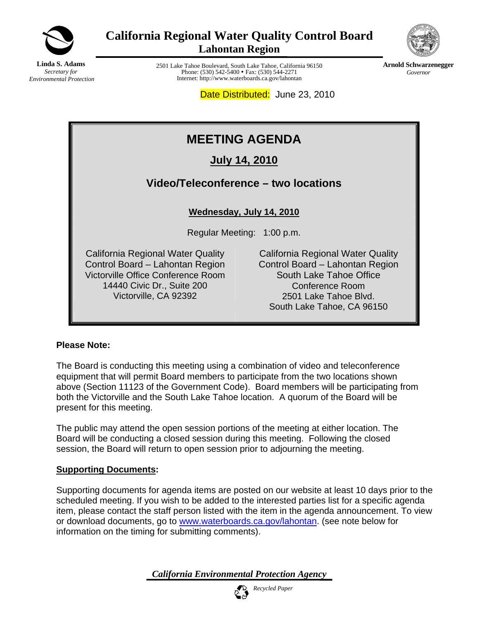

**California Regional Water Quality Control Board Lahontan Region** 



**Linda S. Adams** *Secretary for Environmental Protection*

2501 Lake Tahoe Boulevard, South Lake Tahoe, California 96150 Phone: (530) 542-5400 • Fax: (530) 544-2271 Internet: http://www.waterboards.ca.gov/lahontan

**Arnold Schwarzenegger** *Governor* 

Date Distributed: June 23, 2010

# **MEETING AGENDA**

## **July 14, 2010**

## **Video/Teleconference – two locations**

### **Wednesday, July 14, 2010**

Regular Meeting: 1:00 p.m.

California Regional Water Quality Control Board – Lahontan Region Victorville Office Conference Room 14440 Civic Dr., Suite 200 Victorville, CA 92392

California Regional Water Quality Control Board – Lahontan Region South Lake Tahoe Office Conference Room 2501 Lake Tahoe Blvd. South Lake Tahoe, CA 96150

### **Please Note:**

The Board is conducting this meeting using a combination of video and teleconference equipment that will permit Board members to participate from the two locations shown above (Section 11123 of the Government Code). Board members will be participating from both the Victorville and the South Lake Tahoe location. A quorum of the Board will be present for this meeting.

The public may attend the open session portions of the meeting at either location. The Board will be conducting a closed session during this meeting. Following the closed session, the Board will return to open session prior to adjourning the meeting.

### **Supporting Documents:**

Supporting documents for agenda items are posted on our website at least 10 days prior to the scheduled meeting. If you wish to be added to the interested parties list for a specific agenda item, please contact the staff person listed with the item in the agenda announcement. To view or download documents, go to [www.waterboards.ca.gov/lahontan](http://www.waterboards.ca.gov/lahontan). (see note below for information on the timing for submitting comments).

*California Environmental Protection Agency*

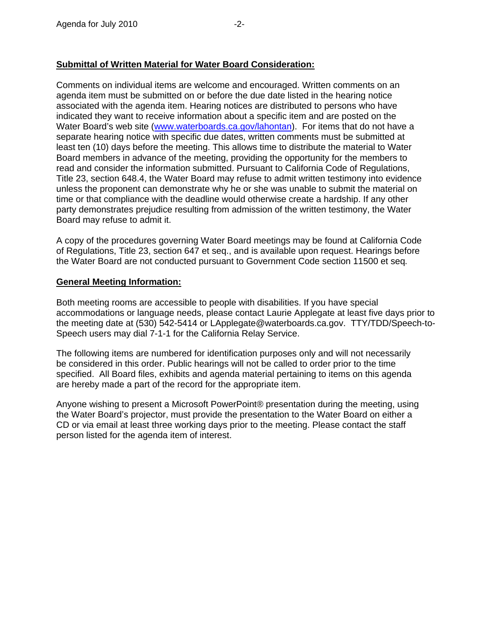### **Submittal of Written Material for Water Board Consideration:**

Comments on individual items are welcome and encouraged. Written comments on an agenda item must be submitted on or before the due date listed in the hearing notice associated with the agenda item. Hearing notices are distributed to persons who have indicated they want to receive information about a specific item and are posted on the Water Board's web site [\(www.waterboards.ca.gov/lahontan](http://www.waterboards.ca.gov/lahontan)). For items that do not have a separate hearing notice with specific due dates, written comments must be submitted at least ten (10) days before the meeting. This allows time to distribute the material to Water Board members in advance of the meeting, providing the opportunity for the members to read and consider the information submitted. Pursuant to California Code of Regulations, Title 23, section 648.4, the Water Board may refuse to admit written testimony into evidence unless the proponent can demonstrate why he or she was unable to submit the material on time or that compliance with the deadline would otherwise create a hardship. If any other party demonstrates prejudice resulting from admission of the written testimony, the Water Board may refuse to admit it.

A copy of the procedures governing Water Board meetings may be found at California Code of Regulations, Title 23, section 647 et seq., and is available upon request. Hearings before the Water Board are not conducted pursuant to Government Code section 11500 et seq*.*

#### **General Meeting Information:**

Both meeting rooms are accessible to people with disabilities. If you have special accommodations or language needs, please contact Laurie Applegate at least five days prior to the meeting date at (530) 542-5414 or LApplegate@waterboards.ca.gov. TTY/TDD/Speech-to-Speech users may dial 7-1-1 for the California Relay Service.

The following items are numbered for identification purposes only and will not necessarily be considered in this order. Public hearings will not be called to order prior to the time specified. All Board files, exhibits and agenda material pertaining to items on this agenda are hereby made a part of the record for the appropriate item.

Anyone wishing to present a Microsoft PowerPoint® presentation during the meeting, using the Water Board's projector, must provide the presentation to the Water Board on either a CD or via email at least three working days prior to the meeting. Please contact the staff person listed for the agenda item of interest.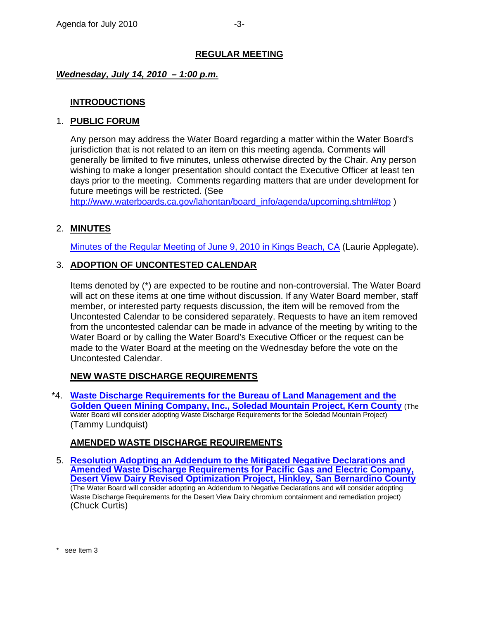### **REGULAR MEETING**

#### *Wednesday, July 14, 2010 – 1:00 p.m.*

#### **INTRODUCTIONS**

#### 1. **PUBLIC FORUM**

Any person may address the Water Board regarding a matter within the Water Board's jurisdiction that is not related to an item on this meeting agenda. Comments will generally be limited to five minutes, unless otherwise directed by the Chair. Any person wishing to make a longer presentation should contact the Executive Officer at least ten days prior to the meeting. Comments regarding matters that are under development for future meetings will be restricted. (See

[http://www.waterboards.ca.gov/lahontan/board\\_info/agenda/upcoming.shtml#top](http://www.waterboards.ca.gov/lahontan/board_info/agenda/upcoming.shtml#top) )

#### 2. **MINUTES**

[Minutes of the Regular Meeting of June 9, 2010 in Kings Beach, CA](http://www.waterboards.ca.gov/lahontan/board_info/agenda/2010/jul/item2.pdf) (Laurie Applegate).

#### 3. **ADOPTION OF UNCONTESTED CALENDAR**

Items denoted by (\*) are expected to be routine and non-controversial. The Water Board will act on these items at one time without discussion. If any Water Board member, staff member, or interested party requests discussion, the item will be removed from the Uncontested Calendar to be considered separately. Requests to have an item removed from the uncontested calendar can be made in advance of the meeting by writing to the Water Board or by calling the Water Board's Executive Officer or the request can be made to the Water Board at the meeting on the Wednesday before the vote on the Uncontested Calendar.

### **NEW WASTE DISCHARGE REQUIREMENTS**

\*4. **[Waste Discharge Requirements for the Bureau of Land Management and the](http://www.waterboards.ca.gov/lahontan/board_info/agenda/2010/jul/item4.pdf)  [Golden Queen Mining Company, Inc., Soledad Mountain Project, Kern County](http://www.waterboards.ca.gov/lahontan/board_info/agenda/2010/jul/item4.pdf)** (The Water Board will consider adopting Waste Discharge Requirements for the Soledad Mountain Project) (Tammy Lundquist)

### **AMENDED WASTE DISCHARGE REQUIREMENTS**

- 5. **[Resolution Adopting an Addendum to the Mitigated Negative Declarations and](http://www.waterboards.ca.gov/lahontan/water_issues/projects/pge/index.shtml#desertview) [Amended Waste Discharge Requirements for Pacific Gas and Electric Company,](http://www.waterboards.ca.gov/lahontan/water_issues/projects/pge/index.shtml#desertview)  [Desert View Dairy Revised Optimization Project, Hinkley, San Bernardino County](http://www.waterboards.ca.gov/lahontan/water_issues/projects/pge/index.shtml#desertview)** (The Water Board will consider adopting an Addendum to Negative Declarations and will consider adopting Waste Discharge Requirements for the Desert View Dairy chromium containment and remediation project) (Chuck Curtis)
- \* see Item 3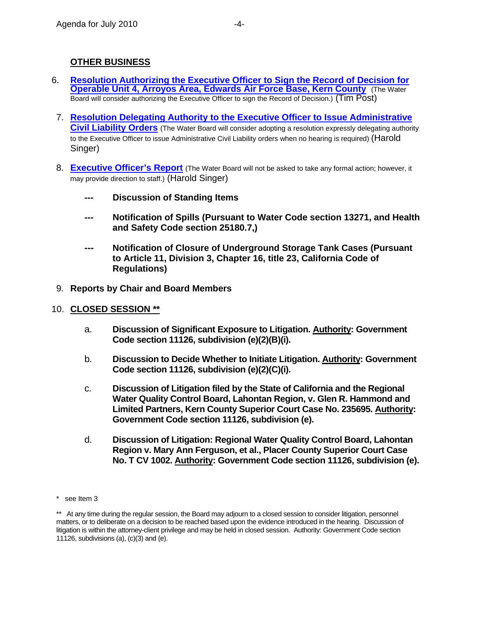### **OTHER BUSINESS**

- 6. **[Resolution Authorizing the Executive Officer to Sign the Record of Decision for](http://www.waterboards.ca.gov/lahontan/board_info/agenda/2010/jul/item6.pdf)  Operable Unit 4, Arroyos Area, Edwards Air Force Base, Kern County** (The Water Board will consider authorizing the Executive Officer to sign the Record of Decision.) (Tim Post)
- 7. **[Resolution Delegating Authority to the Executive Officer to Issue Administrative](http://www.waterboards.ca.gov/lahontan/board_info/agenda/2010/jul/item7.pdf)  Civil Liability Orders** (The Water Board will consider adopting a resolution expressly delegating authority to the Executive Officer to issue Administrative Civil Liability orders when no hearing is required) (Harold Singer)
- 8. **[Executive Officer's Report](http://www.waterboards.ca.gov/lahontan/board_info/agenda/2010/jul/item8.pdf)** (The Water Board will not be asked to take any formal action; however, it may provide direction to staff.) (Harold Singer)
	- **Discussion of Standing Items**
	- **Notification of Spills (Pursuant to Water Code section 13271, and Health and Safety Code section 25180.7,)**
	- **Notification of Closure of Underground Storage Tank Cases (Pursuant to Article 11, Division 3, Chapter 16, title 23, California Code of Regulations)**
- 9. **Reports by Chair and Board Members**
- 10. **CLOSED SESSION \*\***
	- a. **Discussion of Significant Exposure to Litigation. Authority: Government Code section 11126, subdivision (e)(2)(B)(i).**
	- b. **Discussion to Decide Whether to Initiate Litigation. Authority: Government Code section 11126, subdivision (e)(2)(C)(i).**
	- c. **Discussion of Litigation filed by the State of California and the Regional Water Quality Control Board, Lahontan Region, v. Glen R. Hammond and Limited Partners, Kern County Superior Court Case No. 235695. Authority: Government Code section 11126, subdivision (e).**
	- d. **Discussion of Litigation: Regional Water Quality Control Board, Lahontan Region v. Mary Ann Ferguson, et al., Placer County Superior Court Case No. T CV 1002. Authority: Government Code section 11126, subdivision (e).**
- \* see Item 3

<sup>\*\*</sup> At any time during the regular session, the Board may adjourn to a closed session to consider litigation, personnel matters, or to deliberate on a decision to be reached based upon the evidence introduced in the hearing. Discussion of litigation is within the attorney-client privilege and may be held in closed session. Authority: Government Code section 11126, subdivisions (a), (c)(3) and (e).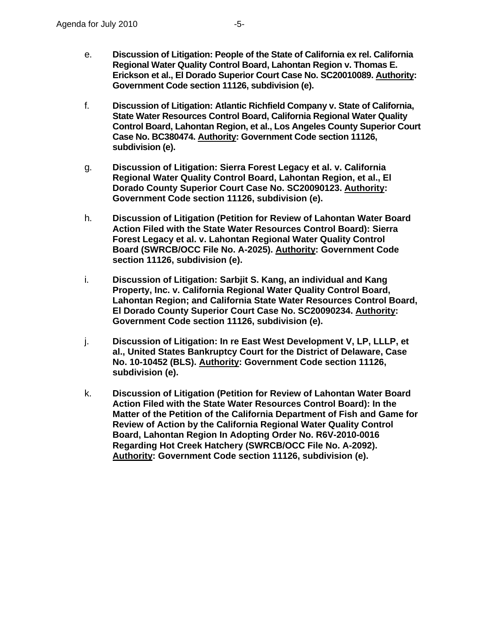- **Regional Water Quality Control Board, Lahontan Region v. Thomas E. Erickson et al., El Dorado Superior Court Case No. SC20010089. Authority: Government Code section 11126, subdivision (e).**
- f. **Discussion of Litigation: Atlantic Richfield Company v. State of California, State Water Resources Control Board, California Regional Water Quality Control Board, Lahontan Region, et al., Los Angeles County Superior Court Case No. BC380474. Authority: Government Code section 11126, subdivision (e).**
- g. **Discussion of Litigation: Sierra Forest Legacy et al. v. California Regional Water Quality Control Board, Lahontan Region, et al., El Dorado County Superior Court Case No. SC20090123. Authority: Government Code section 11126, subdivision (e).**
- h. **Discussion of Litigation (Petition for Review of Lahontan Water Board Action Filed with the State Water Resources Control Board): Sierra Forest Legacy et al. v. Lahontan Regional Water Quality Control Board (SWRCB/OCC File No. A-2025). Authority: Government Code section 11126, subdivision (e).**
- i. **Discussion of Litigation: Sarbjit S. Kang, an individual and Kang Property, Inc. v. California Regional Water Quality Control Board, Lahontan Region; and California State Water Resources Control Board, El Dorado County Superior Court Case No. SC20090234. Authority: Government Code section 11126, subdivision (e).**
- j. **Discussion of Litigation: In re East West Development V, LP, LLLP, et al., United States Bankruptcy Court for the District of Delaware, Case No. 10-10452 (BLS). Authority: Government Code section 11126, subdivision (e).**
- k. **Discussion of Litigation (Petition for Review of Lahontan Water Board Action Filed with the State Water Resources Control Board): In the Matter of the Petition of the California Department of Fish and Game for Review of Action by the California Regional Water Quality Control Board, Lahontan Region In Adopting Order No. R6V-2010-0016 Regarding Hot Creek Hatchery (SWRCB/OCC File No. A-2092). Authority: Government Code section 11126, subdivision (e).**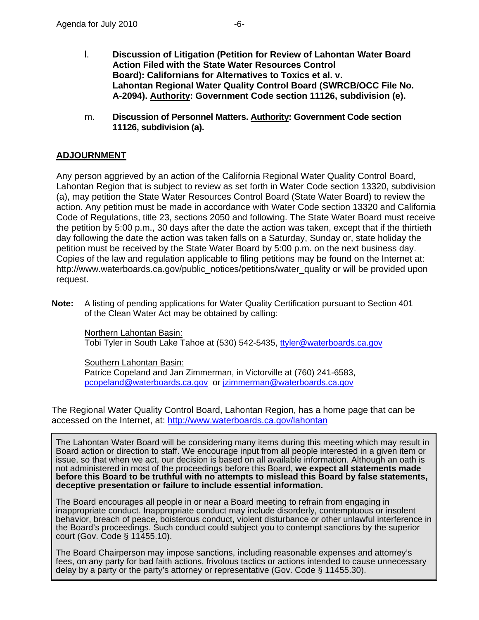m. **Discussion of Personnel Matters. Authority: Government Code section 11126, subdivision (a).** 

### **ADJOURNMENT**

Any person aggrieved by an action of the California Regional Water Quality Control Board, Lahontan Region that is subject to review as set forth in Water Code section 13320, subdivision (a), may petition the State Water Resources Control Board (State Water Board) to review the action. Any petition must be made in accordance with Water Code section 13320 and California Code of Regulations, title 23, sections 2050 and following. The State Water Board must receive the petition by 5:00 p.m., 30 days after the date the action was taken, except that if the thirtieth day following the date the action was taken falls on a Saturday, Sunday or, state holiday the petition must be received by the State Water Board by 5:00 p.m. on the next business day. Copies of the law and regulation applicable to filing petitions may be found on the Internet at: [http://www.waterboards.ca.gov/public\\_notices/petitions/water\\_quality](http://www.waterboards.ca.gov/public_notices/petitions/water_quality) or will be provided upon request.

**Note:** A listing of pending applications for Water Quality Certification pursuant to Section 401 of the Clean Water Act may be obtained by calling:

Northern Lahontan Basin: Tobi Tyler in South Lake Tahoe at (530) 542-5435, [ttyler@waterboards.ca.gov](mailto:ttyler@waterboards.ca.gov)

#### Southern Lahontan Basin:

Patrice Copeland and Jan Zimmerman, in Victorville at (760) 241-6583, [pcopeland@waterboards.ca.gov](mailto:pcopeland@waterboards.ca.gov) or [jzimmerman@waterboards.ca.gov](mailto:jzimmerman@waterboards.ca.gov) 

The Regional Water Quality Control Board, Lahontan Region, has a home page that can be accessed on the Internet, at:<http://www.waterboards.ca.gov/lahontan>

The Lahontan Water Board will be considering many items during this meeting which may result in Board action or direction to staff. We encourage input from all people interested in a given item or issue, so that when we act, our decision is based on all available information. Although an oath is not administered in most of the proceedings before this Board, **we expect all statements made before this Board to be truthful with no attempts to mislead this Board by false statements, deceptive presentation or failure to include essential information.** 

The Board encourages all people in or near a Board meeting to refrain from engaging in inappropriate conduct. Inappropriate conduct may include disorderly, contemptuous or insolent behavior, breach of peace, boisterous conduct, violent disturbance or other unlawful interference in the Board's proceedings. Such conduct could subject you to contempt sanctions by the superior court (Gov. Code § 11455.10).

The Board Chairperson may impose sanctions, including reasonable expenses and attorney's fees, on any party for bad faith actions, frivolous tactics or actions intended to cause unnecessary delay by a party or the party's attorney or representative (Gov. Code § 11455.30).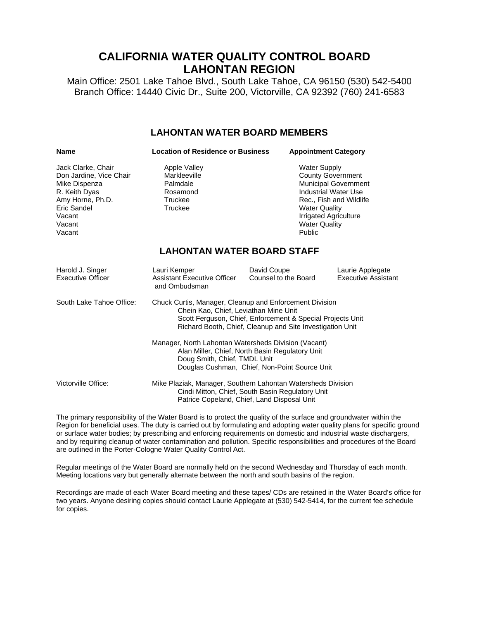## **CALIFORNIA WATER QUALITY CONTROL BOARD LAHONTAN REGION**

Main Office: 2501 Lake Tahoe Blvd., South Lake Tahoe, CA 96150 (530) 542-5400 Branch Office: 14440 Civic Dr., Suite 200, Victorville, CA 92392 (760) 241-6583

#### **LAHONTAN WATER BOARD MEMBERS**

| <b>Name</b>                                                                                                                                             | <b>Location of Residence or Business</b>                                                                                                                                                                                    |                                     | <b>Appointment Category</b>                                                                                                                                                                                          |                                                |
|---------------------------------------------------------------------------------------------------------------------------------------------------------|-----------------------------------------------------------------------------------------------------------------------------------------------------------------------------------------------------------------------------|-------------------------------------|----------------------------------------------------------------------------------------------------------------------------------------------------------------------------------------------------------------------|------------------------------------------------|
| Jack Clarke, Chair<br>Don Jardine, Vice Chair<br>Mike Dispenza<br>R. Keith Dyas<br>Amy Horne, Ph.D.<br><b>Eric Sandel</b><br>Vacant<br>Vacant<br>Vacant | <b>Apple Valley</b><br>Markleeville<br>Palmdale<br>Rosamond<br>Truckee<br>Truckee                                                                                                                                           |                                     | <b>Water Supply</b><br><b>County Government</b><br><b>Municipal Government</b><br>Industrial Water Use<br>Rec., Fish and Wildlife<br><b>Water Quality</b><br>Irrigated Agriculture<br><b>Water Quality</b><br>Public |                                                |
| <b>LAHONTAN WATER BOARD STAFF</b>                                                                                                                       |                                                                                                                                                                                                                             |                                     |                                                                                                                                                                                                                      |                                                |
| Harold J. Singer<br><b>Executive Officer</b>                                                                                                            | Lauri Kemper<br><b>Assistant Executive Officer</b><br>and Ombudsman                                                                                                                                                         | David Coupe<br>Counsel to the Board |                                                                                                                                                                                                                      | Laurie Applegate<br><b>Executive Assistant</b> |
| South Lake Tahoe Office:                                                                                                                                | Chuck Curtis, Manager, Cleanup and Enforcement Division<br>Chein Kao, Chief, Leviathan Mine Unit<br>Scott Ferguson, Chief, Enforcement & Special Projects Unit<br>Richard Booth, Chief, Cleanup and Site Investigation Unit |                                     |                                                                                                                                                                                                                      |                                                |
|                                                                                                                                                         | Manager, North Lahontan Watersheds Division (Vacant)<br>Alan Miller, Chief, North Basin Regulatory Unit<br>Doug Smith, Chief, TMDL Unit<br>Douglas Cushman, Chief, Non-Point Source Unit                                    |                                     |                                                                                                                                                                                                                      |                                                |
| Victorville Office:                                                                                                                                     | Mike Plaziak, Manager, Southern Lahontan Watersheds Division<br>Cindi Mitton, Chief, South Basin Regulatory Unit<br>Patrice Copeland, Chief, Land Disposal Unit                                                             |                                     |                                                                                                                                                                                                                      |                                                |

The primary responsibility of the Water Board is to protect the quality of the surface and groundwater within the Region for beneficial uses. The duty is carried out by formulating and adopting water quality plans for specific ground or surface water bodies; by prescribing and enforcing requirements on domestic and industrial waste dischargers, and by requiring cleanup of water contamination and pollution. Specific responsibilities and procedures of the Board are outlined in the Porter-Cologne Water Quality Control Act.

Regular meetings of the Water Board are normally held on the second Wednesday and Thursday of each month. Meeting locations vary but generally alternate between the north and south basins of the region.

Recordings are made of each Water Board meeting and these tapes/ CDs are retained in the Water Board's office for two years. Anyone desiring copies should contact Laurie Applegate at (530) 542-5414, for the current fee schedule for copies.